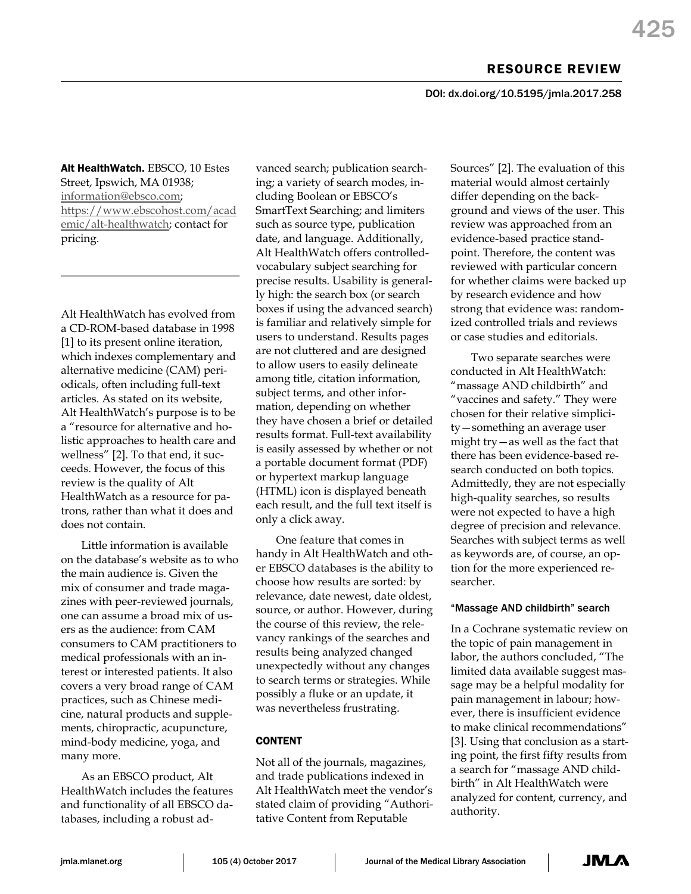DOI: dx.doi.org/10.5195/jmla.2017.258

Alt HealthWatch. EBSCO, 10 Estes Street, Ipswich, MA 01938; [information@ebsco.com;](mailto:information@ebsco.com?subject=Alt%20HealthWatch) [https://www.ebscohost.com/acad](https://www.ebscohost.com/academic/alt-healthwatch) [emic/alt-healthwatch;](https://www.ebscohost.com/academic/alt-healthwatch) contact for pricing.

Alt HealthWatch has evolved from a CD-ROM-based database in 1998 [1] to its present online iteration, which indexes complementary and alternative medicine (CAM) periodicals, often including full-text articles. As stated on its website, Alt HealthWatch's purpose is to be a "resource for alternative and holistic approaches to health care and wellness" [2]. To that end, it succeeds. However, the focus of this review is the quality of Alt HealthWatch as a resource for patrons, rather than what it does and does not contain.

Little information is available on the database's website as to who the main audience is. Given the mix of consumer and trade magazines with peer-reviewed journals, one can assume a broad mix of users as the audience: from CAM consumers to CAM practitioners to medical professionals with an interest or interested patients. It also covers a very broad range of CAM practices, such as Chinese medicine, natural products and supplements, chiropractic, acupuncture, mind-body medicine, yoga, and many more.

As an EBSCO product, Alt HealthWatch includes the features and functionality of all EBSCO databases, including a robust advanced search; publication searching; a variety of search modes, including Boolean or EBSCO's SmartText Searching; and limiters such as source type, publication date, and language. Additionally, Alt HealthWatch offers controlledvocabulary subject searching for precise results. Usability is generally high: the search box (or search boxes if using the advanced search) is familiar and relatively simple for users to understand. Results pages are not cluttered and are designed to allow users to easily delineate among title, citation information, subject terms, and other information, depending on whether they have chosen a brief or detailed results format. Full-text availability is easily assessed by whether or not a portable document format (PDF) or hypertext markup language (HTML) icon is displayed beneath each result, and the full text itself is only a click away.

One feature that comes in handy in Alt HealthWatch and other EBSCO databases is the ability to choose how results are sorted: by relevance, date newest, date oldest, source, or author. However, during the course of this review, the relevancy rankings of the searches and results being analyzed changed unexpectedly without any changes to search terms or strategies. While possibly a fluke or an update, it was nevertheless frustrating.

# CONTENT

Not all of the journals, magazines, and trade publications indexed in Alt HealthWatch meet the vendor's stated claim of providing "Authoritative Content from Reputable

Sources" [2]. The evaluation of this material would almost certainly differ depending on the background and views of the user. This review was approached from an evidence-based practice standpoint. Therefore, the content was reviewed with particular concern for whether claims were backed up by research evidence and how strong that evidence was: randomized controlled trials and reviews or case studies and editorials.

Two separate searches were conducted in Alt HealthWatch: "massage AND childbirth" and "vaccines and safety." They were chosen for their relative simplicity—something an average user might try—as well as the fact that there has been evidence-based research conducted on both topics. Admittedly, they are not especially high-quality searches, so results were not expected to have a high degree of precision and relevance. Searches with subject terms as well as keywords are, of course, an option for the more experienced researcher.

## "Massage AND childbirth" search

In a Cochrane systematic review on the topic of pain management in labor, the authors concluded, "The limited data available suggest massage may be a helpful modality for pain management in labour; however, there is insufficient evidence to make clinical recommendations" [3]. Using that conclusion as a starting point, the first fifty results from a search for "massage AND childbirth" in Alt HealthWatch were analyzed for content, currency, and authority.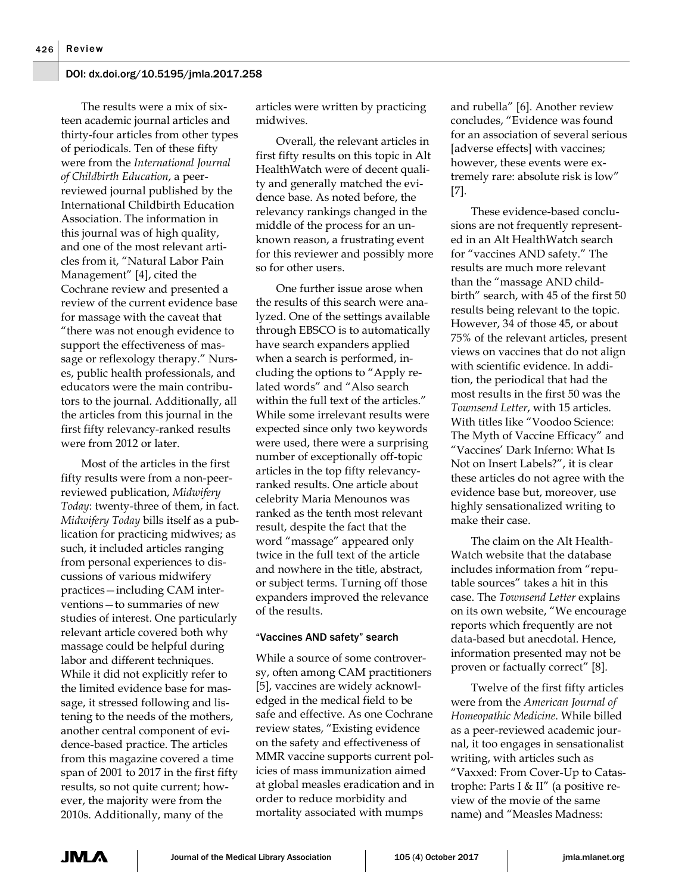#### DOI: dx.doi.org/10.5195/jmla.2017.258

The results were a mix of sixteen academic journal articles and thirty-four articles from other types of periodicals. Ten of these fifty were from the *International Journal of Childbirth Education*, a peerreviewed journal published by the International Childbirth Education Association. The information in this journal was of high quality, and one of the most relevant articles from it, "Natural Labor Pain Management" [4], cited the Cochrane review and presented a review of the current evidence base for massage with the caveat that "there was not enough evidence to support the effectiveness of massage or reflexology therapy." Nurses, public health professionals, and educators were the main contributors to the journal. Additionally, all the articles from this journal in the first fifty relevancy-ranked results were from 2012 or later.

Most of the articles in the first fifty results were from a non-peerreviewed publication, *Midwifery Today*: twenty-three of them, in fact. *Midwifery Today* bills itself as a publication for practicing midwives; as such, it included articles ranging from personal experiences to discussions of various midwifery practices—including CAM interventions—to summaries of new studies of interest. One particularly relevant article covered both why massage could be helpful during labor and different techniques. While it did not explicitly refer to the limited evidence base for massage, it stressed following and listening to the needs of the mothers, another central component of evidence-based practice. The articles from this magazine covered a time span of 2001 to 2017 in the first fifty results, so not quite current; however, the majority were from the 2010s. Additionally, many of the

articles were written by practicing midwives.

Overall, the relevant articles in first fifty results on this topic in Alt HealthWatch were of decent quality and generally matched the evidence base. As noted before, the relevancy rankings changed in the middle of the process for an unknown reason, a frustrating event for this reviewer and possibly more so for other users.

One further issue arose when the results of this search were analyzed. One of the settings available through EBSCO is to automatically have search expanders applied when a search is performed, including the options to "Apply related words" and "Also search within the full text of the articles." While some irrelevant results were expected since only two keywords were used, there were a surprising number of exceptionally off-topic articles in the top fifty relevancyranked results. One article about celebrity Maria Menounos was ranked as the tenth most relevant result, despite the fact that the word "massage" appeared only twice in the full text of the article and nowhere in the title, abstract, or subject terms. Turning off those expanders improved the relevance of the results.

#### "Vaccines AND safety" search

While a source of some controversy, often among CAM practitioners [5], vaccines are widely acknowledged in the medical field to be safe and effective. As one Cochrane review states, "Existing evidence on the safety and effectiveness of MMR vaccine supports current policies of mass immunization aimed at global measles eradication and in order to reduce morbidity and mortality associated with mumps

and rubella" [6]. Another review concludes, "Evidence was found for an association of several serious [adverse effects] with vaccines; however, these events were extremely rare: absolute risk is low" [7].

These evidence-based conclusions are not frequently represented in an Alt HealthWatch search for "vaccines AND safety." The results are much more relevant than the "massage AND childbirth" search, with 45 of the first 50 results being relevant to the topic. However, 34 of those 45, or about 75% of the relevant articles, present views on vaccines that do not align with scientific evidence. In addition, the periodical that had the most results in the first 50 was the *Townsend Letter*, with 15 articles. With titles like "Voodoo Science: The Myth of Vaccine Efficacy" and "Vaccines' Dark Inferno: What Is Not on Insert Labels?", it is clear these articles do not agree with the evidence base but, moreover, use highly sensationalized writing to make their case.

The claim on the Alt Health-Watch website that the database includes information from "reputable sources" takes a hit in this case. The *Townsend Letter* explains on its own website, "We encourage reports which frequently are not data-based but anecdotal. Hence, information presented may not be proven or factually correct" [8].

Twelve of the first fifty articles were from the *American Journal of Homeopathic Medicine*. While billed as a peer-reviewed academic journal, it too engages in sensationalist writing, with articles such as "Vaxxed: From Cover-Up to Catastrophe: Parts I & II" (a positive review of the movie of the same name) and "Measles Madness: